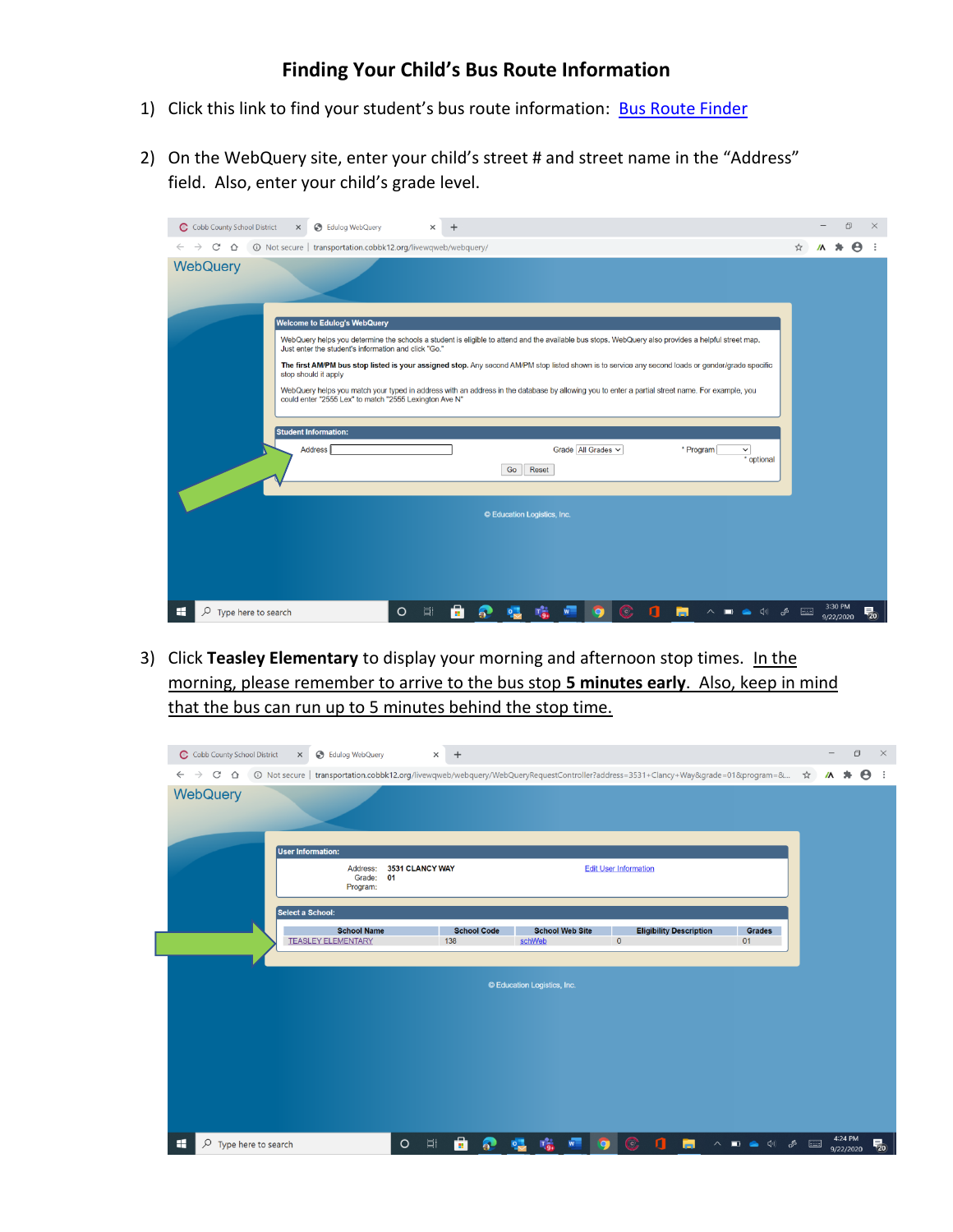## **Finding Your Child's Bus Route Information**

- 1) Click this link to find your student's bus route information: [Bus Route Finder](http://transportation.cobbk12.org/livewqweb/webquery/)
- 2) On the WebQuery site, enter your child's street # and street name in the "Address" field. Also, enter your child's grade level.

| C Cobb County School District<br>S Edulog WebQuery<br>$\times$<br>$\times$                                                                                                                                                                                                                                                                                      |                            | 门         | $\times$              |  |  |  |  |  |
|-----------------------------------------------------------------------------------------------------------------------------------------------------------------------------------------------------------------------------------------------------------------------------------------------------------------------------------------------------------------|----------------------------|-----------|-----------------------|--|--|--|--|--|
| $\mathcal{C}$<br>① Not secure   transportation.cobbk12.org/livewqweb/webquery/<br>$\triangle$<br>$\rightarrow$                                                                                                                                                                                                                                                  |                            | ☆         | $\boldsymbol{\Theta}$ |  |  |  |  |  |
| <b>WebQuery</b>                                                                                                                                                                                                                                                                                                                                                 |                            |           |                       |  |  |  |  |  |
| <b>Welcome to Edulog's WebQuery</b>                                                                                                                                                                                                                                                                                                                             |                            |           |                       |  |  |  |  |  |
| WebQuery helps you determine the schools a student is eligible to attend and the available bus stops. WebQuery also provides a helpful street map.<br>Just enter the student's information and click "Go."<br>The first AM/PM bus stop listed is your assigned stop. Any second AM/PM stop listed shown is to service any second loads or gender/grade specific |                            |           |                       |  |  |  |  |  |
| stop should it apply                                                                                                                                                                                                                                                                                                                                            |                            |           |                       |  |  |  |  |  |
| WebQuery helps you match your typed in address with an address in the database by allowing you to enter a partial street name. For example, you<br>could enter "2555 Lex" to match "2555 Lexington Ave N"                                                                                                                                                       |                            |           |                       |  |  |  |  |  |
| <b>Student Information:</b>                                                                                                                                                                                                                                                                                                                                     |                            |           |                       |  |  |  |  |  |
| Grade All Grades v<br>Address <sup>1</sup><br>* Program<br>Reset<br>Go                                                                                                                                                                                                                                                                                          | $\checkmark$<br>* optional |           |                       |  |  |  |  |  |
|                                                                                                                                                                                                                                                                                                                                                                 |                            |           |                       |  |  |  |  |  |
| © Education Logistics, Inc.                                                                                                                                                                                                                                                                                                                                     |                            |           |                       |  |  |  |  |  |
|                                                                                                                                                                                                                                                                                                                                                                 |                            |           |                       |  |  |  |  |  |
|                                                                                                                                                                                                                                                                                                                                                                 |                            |           |                       |  |  |  |  |  |
|                                                                                                                                                                                                                                                                                                                                                                 |                            |           |                       |  |  |  |  |  |
| $\circ$<br>Ξi<br>H<br>$\varphi$ Type here to search                                                                                                                                                                                                                                                                                                             |                            | 9/22/2020 | 뤙.                    |  |  |  |  |  |

3) Click **Teasley Elementary** to display your morning and afternoon stop times. In the morning, please remember to arrive to the bus stop **5 minutes early**. Also, keep in mind that the bus can run up to 5 minutes behind the stop time.

| C Cobb County School District<br><b>B</b> Edulog WebQuery<br>$\times$                                                                                                                                         | $\times$ +            |                                   |                                  |                              |                                |                                                                                                                                                                                                                                                                                                                                                     |                      | $\Box$                | $\times$                                          |
|---------------------------------------------------------------------------------------------------------------------------------------------------------------------------------------------------------------|-----------------------|-----------------------------------|----------------------------------|------------------------------|--------------------------------|-----------------------------------------------------------------------------------------------------------------------------------------------------------------------------------------------------------------------------------------------------------------------------------------------------------------------------------------------------|----------------------|-----------------------|---------------------------------------------------|
| 1& Dispose of transportation.cobbk12.org/livewqweb/webquery/WebQueryRequestController?address=3531+Clancy+Way&grade=01&program=& <a><br/>C<br/><math>\leftarrow</math><br/>⇧<br/><math>\rightarrow</math></a> |                       |                                   |                                  |                              |                                |                                                                                                                                                                                                                                                                                                                                                     | *<br>$\mathbf{M}$    | $\boldsymbol{\Theta}$ | $\cdot$ :                                         |
| WebQuery                                                                                                                                                                                                      |                       |                                   |                                  |                              |                                |                                                                                                                                                                                                                                                                                                                                                     |                      |                       |                                                   |
| <b>User Information:</b>                                                                                                                                                                                      |                       |                                   |                                  |                              |                                |                                                                                                                                                                                                                                                                                                                                                     |                      |                       |                                                   |
| Address:<br>Grade:<br>Program:                                                                                                                                                                                | 3531 CLANCY WAY<br>01 |                                   |                                  | <b>Edit User Information</b> |                                |                                                                                                                                                                                                                                                                                                                                                     |                      |                       |                                                   |
| Select a School:                                                                                                                                                                                              |                       |                                   |                                  |                              |                                |                                                                                                                                                                                                                                                                                                                                                     |                      |                       |                                                   |
| <b>School Name</b><br><b>TEASLEY ELEMENTARY</b>                                                                                                                                                               | 138                   | <b>School Code</b>                | <b>School Web Site</b><br>schWeb | $\bf{0}$                     | <b>Eligibility Description</b> | <b>Grades</b><br>01                                                                                                                                                                                                                                                                                                                                 |                      |                       |                                                   |
|                                                                                                                                                                                                               |                       |                                   |                                  |                              |                                |                                                                                                                                                                                                                                                                                                                                                     |                      |                       |                                                   |
|                                                                                                                                                                                                               |                       |                                   | © Education Logistics, Inc.      |                              |                                |                                                                                                                                                                                                                                                                                                                                                     |                      |                       |                                                   |
|                                                                                                                                                                                                               |                       |                                   |                                  |                              |                                |                                                                                                                                                                                                                                                                                                                                                     |                      |                       |                                                   |
|                                                                                                                                                                                                               |                       |                                   |                                  |                              |                                |                                                                                                                                                                                                                                                                                                                                                     |                      |                       |                                                   |
|                                                                                                                                                                                                               |                       |                                   |                                  |                              |                                |                                                                                                                                                                                                                                                                                                                                                     |                      |                       |                                                   |
|                                                                                                                                                                                                               |                       |                                   |                                  |                              |                                |                                                                                                                                                                                                                                                                                                                                                     |                      |                       |                                                   |
| H<br>$\varphi$ Type here to search                                                                                                                                                                            | $\circ$<br>$\Xi$      | å<br>5 <sup>2</sup><br><b>P.B</b> | <b>Tai</b>                       | $\odot$<br>п                 | m                              | $\begin{picture}(150,10) \put(0,0){\line(1,0){10}} \put(15,0){\line(1,0){10}} \put(15,0){\line(1,0){10}} \put(15,0){\line(1,0){10}} \put(15,0){\line(1,0){10}} \put(15,0){\line(1,0){10}} \put(15,0){\line(1,0){10}} \put(15,0){\line(1,0){10}} \put(15,0){\line(1,0){10}} \put(15,0){\line(1,0){10}} \put(15,0){\line(1,0){10}} \put(15,0){\line($ | 4:24 PM<br>9/22/2020 |                       | $\overline{\overline{\overline{\overline{z}}}}_0$ |